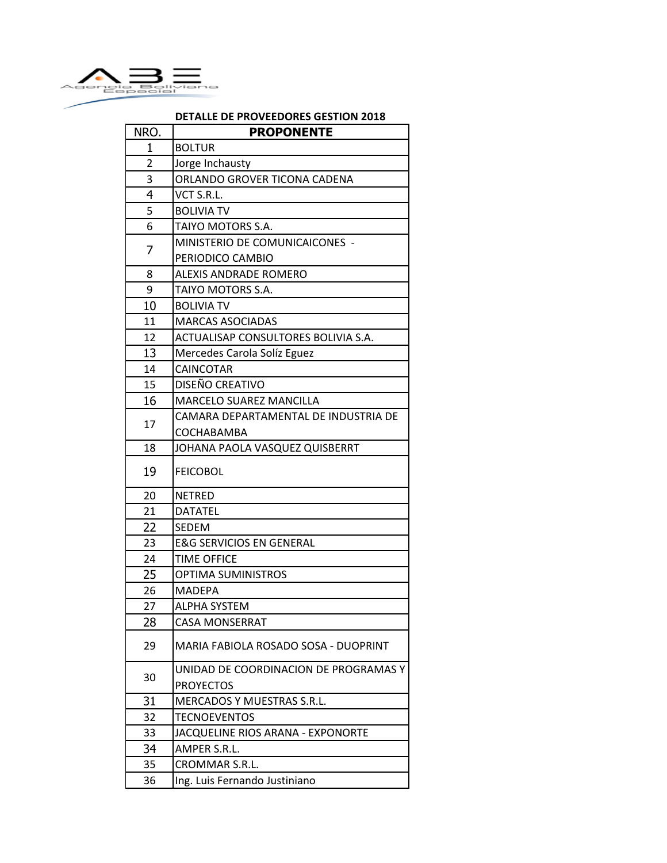

## **DETALLE DE PROVEEDORES GESTION 2018**

| NRO. | <b>PROPONENTE</b>                     |
|------|---------------------------------------|
| 1    | <b>BOLTUR</b>                         |
| 2    | Jorge Inchausty                       |
| 3    | ORLANDO GROVER TICONA CADENA          |
| 4    | VCT S.R.L.                            |
| 5    | <b>BOLIVIA TV</b>                     |
| 6    | TAIYO MOTORS S.A.                     |
|      | MINISTERIO DE COMUNICAICONES -        |
| 7    | PERIODICO CAMBIO                      |
| 8    | <b>ALEXIS ANDRADE ROMERO</b>          |
| 9    | TAIYO MOTORS S.A.                     |
| 10   | <b>BOLIVIA TV</b>                     |
| 11   | <b>MARCAS ASOCIADAS</b>               |
| 12   | ACTUALISAP CONSULTORES BOLIVIA S.A.   |
| 13   | Mercedes Carola Solíz Eguez           |
| 14   | <b>CAINCOTAR</b>                      |
| 15   | DISEÑO CREATIVO                       |
| 16   | <b>MARCELO SUAREZ MANCILLA</b>        |
| 17   | CAMARA DEPARTAMENTAL DE INDUSTRIA DE  |
|      | <b>COCHABAMBA</b>                     |
| 18   | JOHANA PAOLA VASQUEZ QUISBERRT        |
| 19   | <b>FEICOBOL</b>                       |
| 20   | <b>NETRED</b>                         |
| 21   | <b>DATATEL</b>                        |
| 22   | <b>SEDEM</b>                          |
| 23   | <b>E&amp;G SERVICIOS EN GENERAL</b>   |
| 24   | <b>TIME OFFICE</b>                    |
| 25   | <b>OPTIMA SUMINISTROS</b>             |
| 26   | MADEPA                                |
| 27   | <b>ALPHA SYSTEM</b>                   |
| 28   | <b>CASA MONSERRAT</b>                 |
| 29   | MARIA FABIOLA ROSADO SOSA - DUOPRINT  |
|      | UNIDAD DE COORDINACION DE PROGRAMAS Y |
| 30   | <b>PROYECTOS</b>                      |
| 31   | MERCADOS Y MUESTRAS S.R.L.            |
| 32   | TECNOEVENTOS                          |
| 33   | JACQUELINE RIOS ARANA - EXPONORTE     |
| 34   | AMPER S.R.L.                          |
| 35   | CROMMAR S.R.L.                        |
| 36   | Ing. Luis Fernando Justiniano         |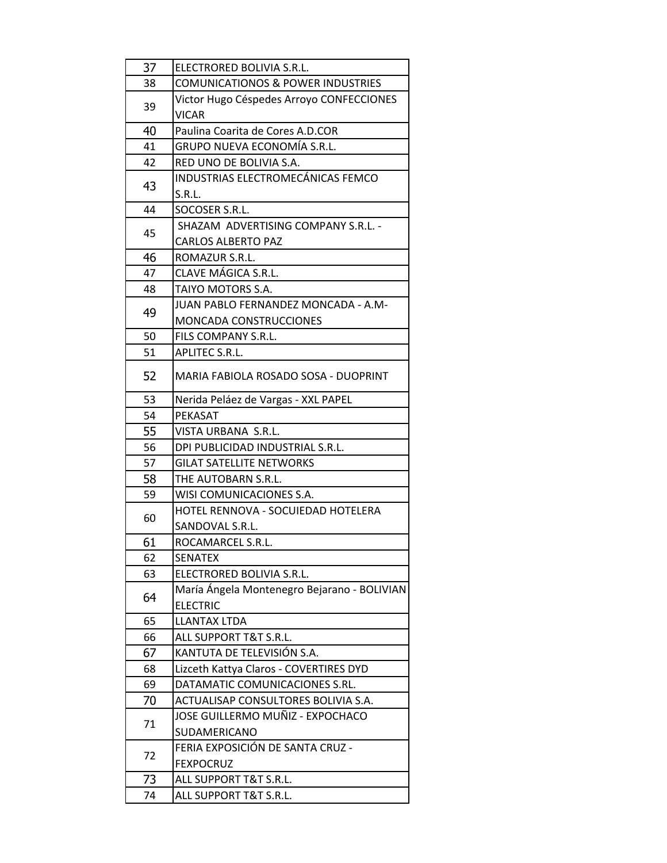| 37 | ELECTRORED BOLIVIA S.R.L.                                |
|----|----------------------------------------------------------|
| 38 | <b>COMUNICATIONOS &amp; POWER INDUSTRIES</b>             |
| 39 | Victor Hugo Céspedes Arroyo CONFECCIONES<br><b>VICAR</b> |
| 40 | Paulina Coarita de Cores A.D.COR                         |
| 41 | GRUPO NUEVA ECONOMÍA S.R.L.                              |
| 42 | RED UNO DE BOLIVIA S.A.                                  |
| 43 | INDUSTRIAS ELECTROMECÁNICAS FEMCO                        |
|    | S.R.L.                                                   |
| 44 | SOCOSER S.R.L.                                           |
| 45 | SHAZAM ADVERTISING COMPANY S.R.L. -                      |
|    | <b>CARLOS ALBERTO PAZ</b>                                |
| 46 | ROMAZUR S.R.L.                                           |
| 47 | CLAVE MÁGICA S.R.L.                                      |
| 48 | TAIYO MOTORS S.A.                                        |
|    | JUAN PABLO FERNANDEZ MONCADA - A.M-                      |
| 49 | <b>MONCADA CONSTRUCCIONES</b>                            |
| 50 | FILS COMPANY S.R.L.                                      |
| 51 | APLITEC S.R.L.                                           |
|    |                                                          |
| 52 | MARIA FABIOLA ROSADO SOSA - DUOPRINT                     |
| 53 | Nerida Peláez de Vargas - XXL PAPEL                      |
| 54 | PEKASAT                                                  |
| 55 | VISTA URBANA S.R.L.                                      |
| 56 | DPI PUBLICIDAD INDUSTRIAL S.R.L.                         |
| 57 | <b>GILAT SATELLITE NETWORKS</b>                          |
| 58 | THE AUTOBARN S.R.L.                                      |
| 59 | WISI COMUNICACIONES S.A.                                 |
| 60 | HOTEL RENNOVA - SOCUIEDAD HOTELERA                       |
|    | SANDOVAL S.R.L.                                          |
| 61 | ROCAMARCEL S.R.L.                                        |
| 62 | <b>SENATEX</b>                                           |
| 63 | ELECTRORED BOLIVIA S.R.L.                                |
|    | María Ángela Montenegro Bejarano - BOLIVIAN              |
| 64 | <b>ELECTRIC</b>                                          |
| 65 | <b>LLANTAX LTDA</b>                                      |
| 66 | ALL SUPPORT T&T S.R.L.                                   |
| 67 | KANTUTA DE TELEVISIÓN S.A.                               |
| 68 | Lizceth Kattya Claros - COVERTIRES DYD                   |
| 69 | DATAMATIC COMUNICACIONES S.RL.                           |
| 70 | ACTUALISAP CONSULTORES BOLIVIA S.A.                      |
| 71 | JOSE GUILLERMO MUÑIZ - EXPOCHACO                         |
|    | SUDAMERICANO                                             |
| 72 | FERIA EXPOSICIÓN DE SANTA CRUZ -                         |
|    | <b>FEXPOCRUZ</b>                                         |
| 73 | ALL SUPPORT T&T S.R.L.                                   |
| 74 | ALL SUPPORT T&T S.R.L.                                   |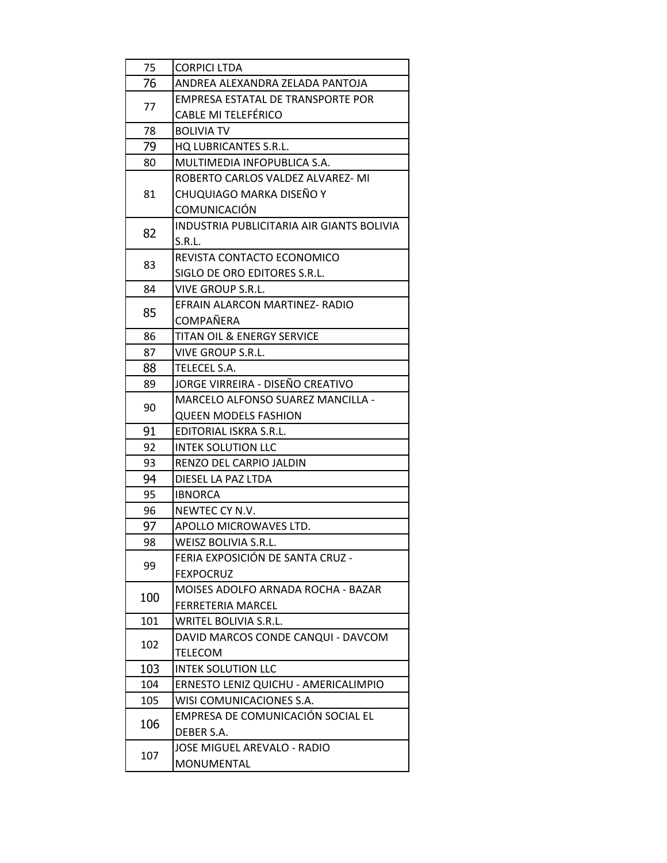| 75  | <b>CORPICI LTDA</b>                       |
|-----|-------------------------------------------|
| 76  | ANDREA ALEXANDRA ZELADA PANTOJA           |
| 77  | <b>EMPRESA ESTATAL DE TRANSPORTE POR</b>  |
|     | <b>CABLE MI TELEFÉRICO</b>                |
| 78  | <b>BOLIVIA TV</b>                         |
| 79  | HQ LUBRICANTES S.R.L.                     |
| 80  | MULTIMEDIA INFOPUBLICA S.A.               |
| 81  | ROBERTO CARLOS VALDEZ ALVAREZ-MI          |
|     | CHUQUIAGO MARKA DISEÑO Y                  |
|     | COMUNICACIÓN                              |
| 82  | INDUSTRIA PUBLICITARIA AIR GIANTS BOLIVIA |
|     | S.R.L.                                    |
|     | REVISTA CONTACTO ECONOMICO                |
| 83  | SIGLO DE ORO EDITORES S.R.L.              |
| 84  | <b>VIVE GROUP S.R.L.</b>                  |
| 85  | EFRAIN ALARCON MARTINEZ- RADIO            |
|     | <b>COMPAÑERA</b>                          |
| 86  | <b>TITAN OIL &amp; ENERGY SERVICE</b>     |
| 87  | VIVE GROUP S.R.L.                         |
| 88  | <b>TELECEL S.A.</b>                       |
| 89  | JORGE VIRREIRA - DISEÑO CREATIVO          |
| 90  | <b>MARCELO ALFONSO SUAREZ MANCILLA -</b>  |
|     | <b>QUEEN MODELS FASHION</b>               |
| 91  | EDITORIAL ISKRA S.R.L.                    |
| 92  | <b>INTEK SOLUTION LLC</b>                 |
| 93  | RENZO DEL CARPIO JALDIN                   |
| 94  | DIESEL LA PAZ LTDA                        |
| 95  | <b>IBNORCA</b>                            |
| 96  | NEWTEC CY N.V.                            |
| 97  | APOLLO MICROWAVES LTD.                    |
| 98  | <b>WEISZ BOLIVIA S.R.L.</b>               |
| 99  | FERIA EXPOSICIÓN DE SANTA CRUZ -          |
|     | <b>FEXPOCRUZ</b>                          |
| 100 | <b>MOISES ADOLFO ARNADA ROCHA - BAZAR</b> |
|     | FERRETERIA MARCEL                         |
| 101 | WRITEL BOLIVIA S.R.L.                     |
| 102 | DAVID MARCOS CONDE CANQUI - DAVCOM        |
|     | TELECOM                                   |
| 103 | <b>INTEK SOLUTION LLC</b>                 |
| 104 | ERNESTO LENIZ QUICHU - AMERICALIMPIO      |
| 105 | WISI COMUNICACIONES S.A.                  |
| 106 | EMPRESA DE COMUNICACIÓN SOCIAL EL         |
|     | DEBER S.A.                                |
| 107 | <b>JOSE MIGUEL AREVALO - RADIO</b>        |
|     | MONUMENTAL                                |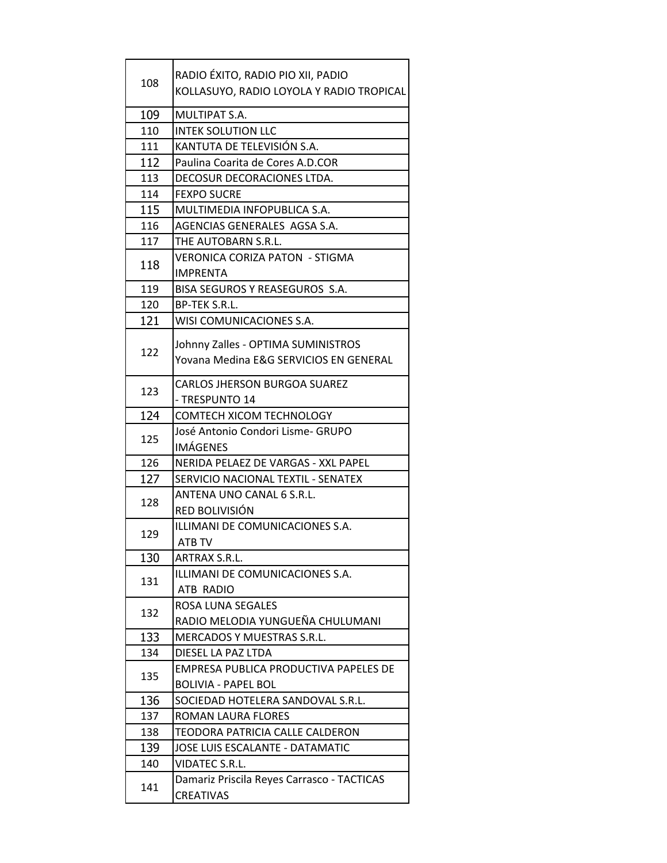| 108 | RADIO ÉXITO, RADIO PIO XII, PADIO<br>KOLLASUYO, RADIO LOYOLA Y RADIO TROPICAL |
|-----|-------------------------------------------------------------------------------|
| 109 | MULTIPAT S.A.                                                                 |
| 110 | <b>INTEK SOLUTION LLC</b>                                                     |
| 111 | KANTUTA DE TELEVISIÓN S.A.                                                    |
| 112 | Paulina Coarita de Cores A.D.COR                                              |
| 113 | DECOSUR DECORACIONES LTDA.                                                    |
| 114 | <b>FEXPO SUCRE</b>                                                            |
| 115 | MULTIMEDIA INFOPUBLICA S.A.                                                   |
| 116 | AGENCIAS GENERALES AGSA S.A.                                                  |
| 117 | THE AUTOBARN S.R.L.                                                           |
|     | <b>VERONICA CORIZA PATON - STIGMA</b>                                         |
| 118 | <b>IMPRENTA</b>                                                               |
| 119 | BISA SEGUROS Y REASEGUROS S.A.                                                |
| 120 | <b>BP-TEK S.R.L.</b>                                                          |
| 121 | WISI COMUNICACIONES S.A.                                                      |
|     | Johnny Zalles - OPTIMA SUMINISTROS                                            |
| 122 | Yovana Medina E&G SERVICIOS EN GENERAL                                        |
|     |                                                                               |
| 123 | <b>CARLOS JHERSON BURGOA SUAREZ</b>                                           |
|     | - TRESPUNTO 14                                                                |
| 124 | <b>COMTECH XICOM TECHNOLOGY</b>                                               |
|     | José Antonio Condori Lisme- GRUPO                                             |
| 125 | <b>IMÁGENES</b>                                                               |
| 126 | NERIDA PELAEZ DE VARGAS - XXL PAPEL                                           |
| 127 | SERVICIO NACIONAL TEXTIL - SENATEX                                            |
| 128 | ANTENA UNO CANAL 6 S.R.L.                                                     |
|     | RED BOLIVISIÓN                                                                |
|     | ILLIMANI DE COMUNICACIONES S.A.                                               |
| 129 | <b>ATB TV</b>                                                                 |
| 130 | ARTRAX S.R.L.                                                                 |
|     | ILLIMANI DE COMUNICACIONES S.A.                                               |
| 131 | ATB RADIO                                                                     |
|     | <b>ROSA LUNA SEGALES</b>                                                      |
| 132 | RADIO MELODIA YUNGUEÑA CHULUMANI                                              |
| 133 | MERCADOS Y MUESTRAS S.R.L.                                                    |
| 134 | DIESEL LA PAZ LTDA                                                            |
| 135 | EMPRESA PUBLICA PRODUCTIVA PAPELES DE                                         |
|     | <b>BOLIVIA - PAPEL BOL</b>                                                    |
| 136 | SOCIEDAD HOTELERA SANDOVAL S.R.L.                                             |
| 137 | ROMAN LAURA FLORES                                                            |
| 138 | TEODORA PATRICIA CALLE CALDERON                                               |
| 139 | <b>JOSE LUIS ESCALANTE - DATAMATIC</b>                                        |
| 140 | <b>VIDATEC S.R.L.</b>                                                         |
| 141 | Damariz Priscila Reyes Carrasco - TACTICAS                                    |
|     | <b>CREATIVAS</b>                                                              |